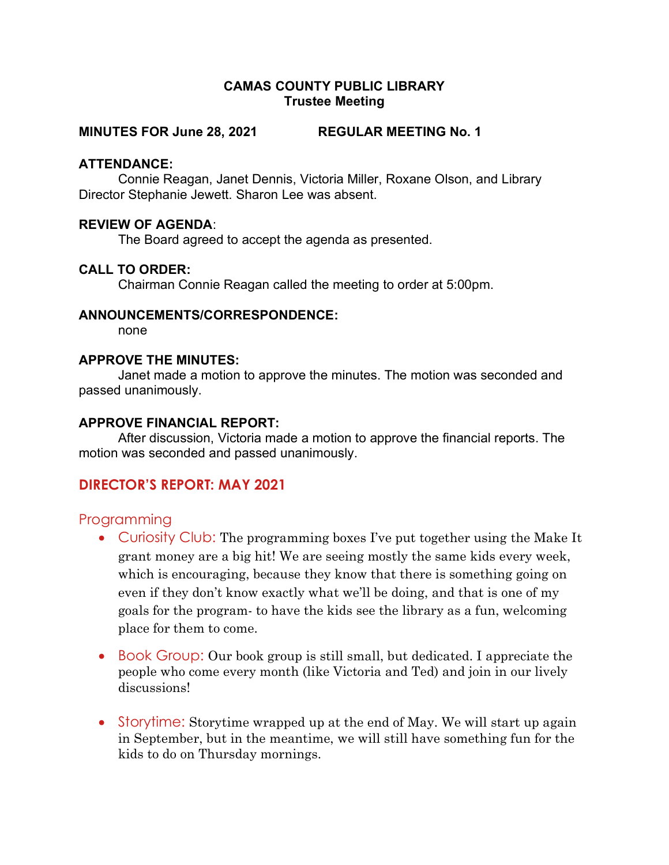### CAMAS COUNTY PUBLIC LIBRARY Trustee Meeting

### MINUTES FOR June 28, 2021 REGULAR MEETING No. 1

### ATTENDANCE:

Connie Reagan, Janet Dennis, Victoria Miller, Roxane Olson, and Library Director Stephanie Jewett. Sharon Lee was absent.

### REVIEW OF AGENDA:

The Board agreed to accept the agenda as presented.

### CALL TO ORDER:

Chairman Connie Reagan called the meeting to order at 5:00pm.

#### ANNOUNCEMENTS/CORRESPONDENCE:

none

#### APPROVE THE MINUTES:

Janet made a motion to approve the minutes. The motion was seconded and passed unanimously.

### APPROVE FINANCIAL REPORT:

After discussion, Victoria made a motion to approve the financial reports. The motion was seconded and passed unanimously.

## DIRECTOR'S REPORT: MAY 2021

### Programming

- Curiosity Club: The programming boxes I've put together using the Make It grant money are a big hit! We are seeing mostly the same kids every week, which is encouraging, because they know that there is something going on even if they don't know exactly what we'll be doing, and that is one of my goals for the program- to have the kids see the library as a fun, welcoming place for them to come.
- Book Group: Our book group is still small, but dedicated. I appreciate the people who come every month (like Victoria and Ted) and join in our lively discussions!
- Storytime: Storytime wrapped up at the end of May. We will start up again in September, but in the meantime, we will still have something fun for the kids to do on Thursday mornings.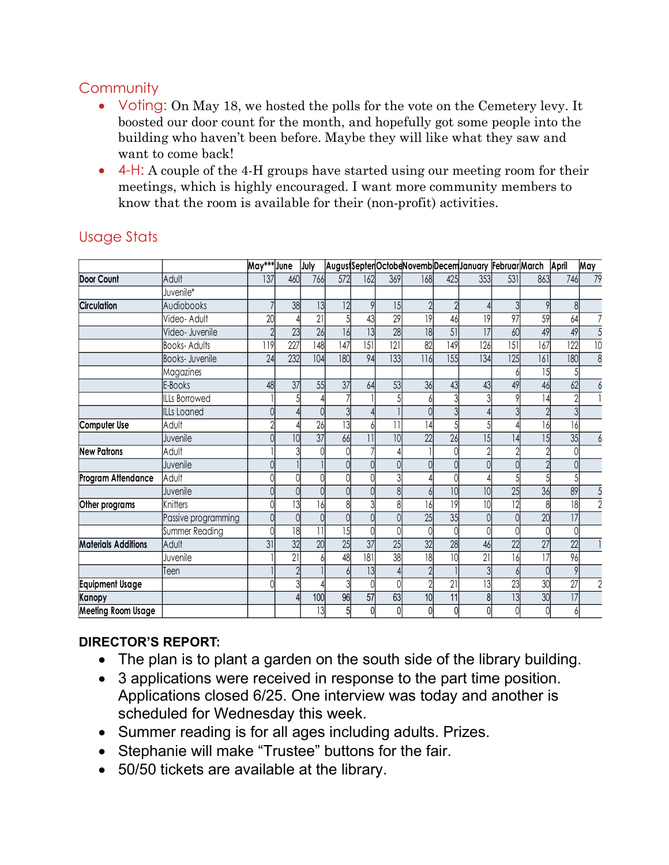# **Community**

- Voting: On May 18, we hosted the polls for the vote on the Cemetery levy. It boosted our door count for the month, and hopefully got some people into the building who haven't been before. Maybe they will like what they saw and want to come back!
- 4-H: A couple of the 4-H groups have started using our meeting room for their meetings, which is highly encouraged. I want more community members to know that the room is available for their (non-profit) activities.

| Community                  |                                                                                                                                                                                                                                                                                                                                                                                                                             |             |                  |      |     |     |                  |                                                   |                  |     |                  |     |                  |                 |
|----------------------------|-----------------------------------------------------------------------------------------------------------------------------------------------------------------------------------------------------------------------------------------------------------------------------------------------------------------------------------------------------------------------------------------------------------------------------|-------------|------------------|------|-----|-----|------------------|---------------------------------------------------|------------------|-----|------------------|-----|------------------|-----------------|
|                            | • Voting: On May 18, we hosted the polls for the vote on the Cemetery levy. It<br>boosted our door count for the month, and hopefully got some people into the<br>building who haven't been before. Maybe they will like what they saw and<br>want to come back!<br>4-H: A couple of the 4-H groups have started using our meeting room for their<br>meetings, which is highly encouraged. I want more community members to |             |                  |      |     |     |                  |                                                   |                  |     |                  |     |                  |                 |
|                            | know that the room is available for their (non-profit) activities.                                                                                                                                                                                                                                                                                                                                                          |             |                  |      |     |     |                  |                                                   |                  |     |                  |     |                  |                 |
| <b>Usage Stats</b>         |                                                                                                                                                                                                                                                                                                                                                                                                                             |             |                  |      |     |     |                  |                                                   |                  |     |                  |     |                  |                 |
|                            |                                                                                                                                                                                                                                                                                                                                                                                                                             | May*** June |                  | July |     |     |                  | AugustSeptenOctobeNovembDecemJanuary FebruarMarch |                  |     |                  |     | April            | May             |
| <b>Door Count</b>          | Adult                                                                                                                                                                                                                                                                                                                                                                                                                       | 137         | 460              | 766  | 572 | 162 | 369              | 168                                               | 425              | 353 | 531              | 863 | 746              | 79              |
|                            | Juvenile*                                                                                                                                                                                                                                                                                                                                                                                                                   |             |                  |      |     |     |                  |                                                   |                  |     |                  |     |                  |                 |
| <b>Circulation</b>         | Audiobooks                                                                                                                                                                                                                                                                                                                                                                                                                  |             | 38               | 13   | 12  |     | 15               |                                                   |                  |     |                  |     |                  |                 |
|                            | Video- Adult                                                                                                                                                                                                                                                                                                                                                                                                                | 20          |                  | 21   |     |     | 29               | 9                                                 | 46               | 9   | 97               | 59  | 64               |                 |
|                            | Video- Juvenile                                                                                                                                                                                                                                                                                                                                                                                                             |             | 23               | 26   | 16  |     | 28               | 8                                                 | 51               | 7   | 60               | 49  | 49               | $\overline{5}$  |
|                            | <b>Books-Adults</b>                                                                                                                                                                                                                                                                                                                                                                                                         | 119         | $\overline{227}$ | 148  | 147 | 5   | $\overline{121}$ | 82                                                | 149              | 126 | $\overline{151}$ | 167 | $\overline{122}$ | $\overline{10}$ |
|                            | Books- Juvenile                                                                                                                                                                                                                                                                                                                                                                                                             | 24          | 232              | 104  | 180 | 94  | 33               | 116                                               | $\overline{155}$ | 134 | $\overline{125}$ | 6   | $\overline{180}$ | $\overline{8}$  |
|                            | Magazines                                                                                                                                                                                                                                                                                                                                                                                                                   |             |                  |      |     |     |                  |                                                   |                  |     |                  |     |                  |                 |
|                            | E-Books                                                                                                                                                                                                                                                                                                                                                                                                                     | 48          | 37               | 55   | 37  | 64  | 53               | 36                                                | 43               | 43  | 49               | 46  | 62               |                 |
|                            | <b>ILLs Borrowed</b>                                                                                                                                                                                                                                                                                                                                                                                                        |             |                  |      |     |     |                  |                                                   |                  |     |                  |     |                  |                 |
|                            | ILLs Loaned                                                                                                                                                                                                                                                                                                                                                                                                                 |             |                  |      |     |     |                  |                                                   |                  |     |                  |     | $\mathcal{S}$    |                 |
| Computer Use               | Adult                                                                                                                                                                                                                                                                                                                                                                                                                       |             |                  | 26   | 13  |     |                  | 4                                                 |                  |     |                  |     | 16               |                 |
|                            | Juvenile                                                                                                                                                                                                                                                                                                                                                                                                                    | $\Omega$    | 10               | 37   | 66  |     |                  | 22                                                | 26               | 15  | 4                |     | $\overline{35}$  |                 |
| <b>New Patrons</b>         | Adult                                                                                                                                                                                                                                                                                                                                                                                                                       |             |                  |      |     |     |                  |                                                   |                  |     |                  |     |                  |                 |
|                            | Juvenile                                                                                                                                                                                                                                                                                                                                                                                                                    | $\cap$      |                  |      |     |     |                  |                                                   |                  |     |                  |     |                  |                 |
| Program Attendance         | Adult                                                                                                                                                                                                                                                                                                                                                                                                                       |             |                  |      |     |     |                  |                                                   |                  |     |                  |     |                  |                 |
|                            | Juvenile                                                                                                                                                                                                                                                                                                                                                                                                                    |             |                  |      |     |     |                  |                                                   | 10               | 10  | 25               | 36  | 89               |                 |
| Other programs             | Knitters                                                                                                                                                                                                                                                                                                                                                                                                                    |             |                  |      |     |     |                  | 161                                               | 9                |     | $\overline{12}$  |     | $\overline{18}$  | $\overline{2}$  |
|                            | Passive programming                                                                                                                                                                                                                                                                                                                                                                                                         |             |                  |      |     |     |                  | 25                                                | 35               |     |                  | 20  | 17               |                 |
|                            | Summer Reading                                                                                                                                                                                                                                                                                                                                                                                                              |             | 18               |      | 15  |     |                  |                                                   |                  |     |                  |     |                  |                 |
| <b>Materials Additions</b> | Adult                                                                                                                                                                                                                                                                                                                                                                                                                       | 31          | 32               | 20   | 25  | 37  | 25               | 32                                                | 28               | 46  | 22               | 27  | 22               |                 |
|                            | Juvenile                                                                                                                                                                                                                                                                                                                                                                                                                    |             | $\overline{2}$   |      | 48  | 181 | 38               | 18                                                |                  | 21  | 16               |     | 96               |                 |
|                            | Teen                                                                                                                                                                                                                                                                                                                                                                                                                        |             |                  |      |     |     |                  |                                                   |                  |     |                  |     | 9                |                 |
|                            |                                                                                                                                                                                                                                                                                                                                                                                                                             |             |                  |      |     |     |                  |                                                   | 21               | 13  | 23               | 30  | 27               |                 |
| <b>Equipment Usage</b>     |                                                                                                                                                                                                                                                                                                                                                                                                                             |             |                  |      |     |     | 63               | 10                                                | 11               | 8   | 3                | 30  | 17               |                 |
| Kanopy                     |                                                                                                                                                                                                                                                                                                                                                                                                                             |             |                  | 100  | 96  | 57  |                  |                                                   |                  |     |                  |     |                  |                 |

# Usage Stats

# DIRECTOR'S REPORT:

- The plan is to plant a garden on the south side of the library building.
- 3 applications were received in response to the part time position. Applications closed 6/25. One interview was today and another is scheduled for Wednesday this week.
- Summer reading is for all ages including adults. Prizes.
- Stephanie will make "Trustee" buttons for the fair.
- 50/50 tickets are available at the library.